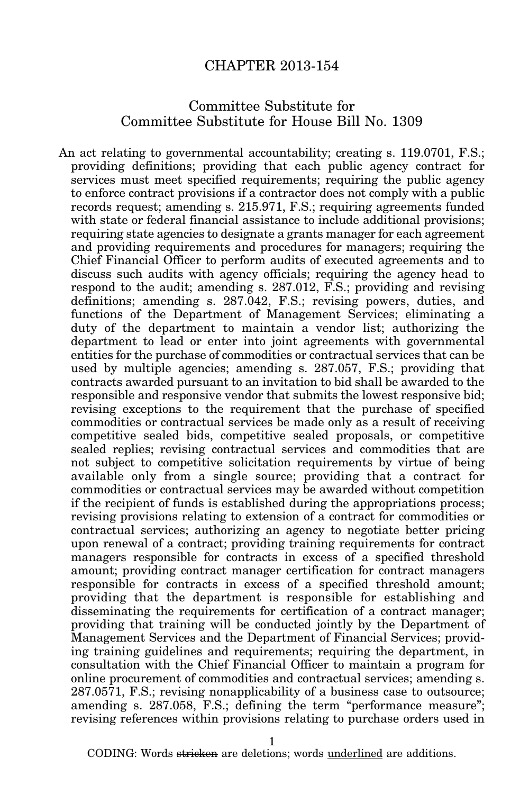## CHAPTER 2013-154

## Committee Substitute for Committee Substitute for House Bill No. 1309

An act relating to governmental accountability; creating s. 119.0701, F.S.; providing definitions; providing that each public agency contract for services must meet specified requirements; requiring the public agency to enforce contract provisions if a contractor does not comply with a public records request; amending s. 215.971, F.S.; requiring agreements funded with state or federal financial assistance to include additional provisions; requiring state agencies to designate a grants manager for each agreement and providing requirements and procedures for managers; requiring the Chief Financial Officer to perform audits of executed agreements and to discuss such audits with agency officials; requiring the agency head to respond to the audit; amending s. 287.012, F.S.; providing and revising definitions; amending s. 287.042, F.S.; revising powers, duties, and functions of the Department of Management Services; eliminating a duty of the department to maintain a vendor list; authorizing the department to lead or enter into joint agreements with governmental entities for the purchase of commodities or contractual services that can be used by multiple agencies; amending s. 287.057, F.S.; providing that contracts awarded pursuant to an invitation to bid shall be awarded to the responsible and responsive vendor that submits the lowest responsive bid; revising exceptions to the requirement that the purchase of specified commodities or contractual services be made only as a result of receiving competitive sealed bids, competitive sealed proposals, or competitive sealed replies; revising contractual services and commodities that are not subject to competitive solicitation requirements by virtue of being available only from a single source; providing that a contract for commodities or contractual services may be awarded without competition if the recipient of funds is established during the appropriations process; revising provisions relating to extension of a contract for commodities or contractual services; authorizing an agency to negotiate better pricing upon renewal of a contract; providing training requirements for contract managers responsible for contracts in excess of a specified threshold amount; providing contract manager certification for contract managers responsible for contracts in excess of a specified threshold amount; providing that the department is responsible for establishing and disseminating the requirements for certification of a contract manager; providing that training will be conducted jointly by the Department of Management Services and the Department of Financial Services; providing training guidelines and requirements; requiring the department, in consultation with the Chief Financial Officer to maintain a program for online procurement of commodities and contractual services; amending s. 287.0571, F.S.; revising nonapplicability of a business case to outsource; amending s. 287.058, F.S.; defining the term "performance measure"; revising references within provisions relating to purchase orders used in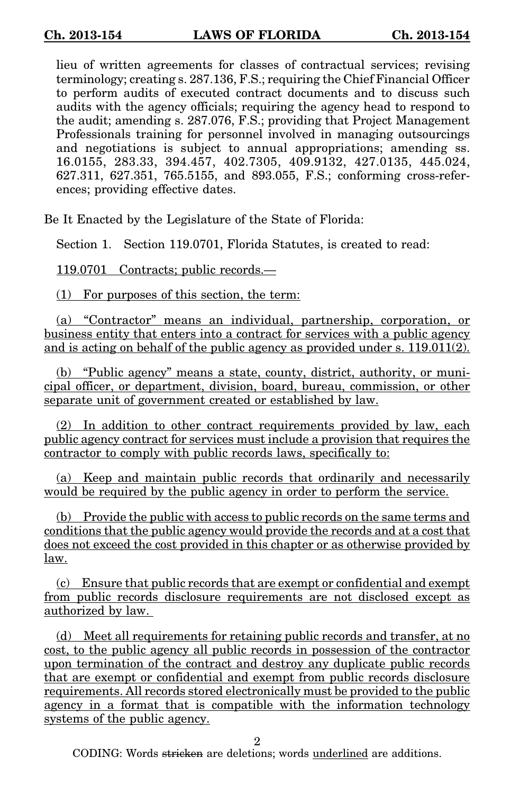lieu of written agreements for classes of contractual services; revising terminology; creating s. 287.136, F.S.; requiring the Chief Financial Officer to perform audits of executed contract documents and to discuss such audits with the agency officials; requiring the agency head to respond to the audit; amending s. 287.076, F.S.; providing that Project Management Professionals training for personnel involved in managing outsourcings and negotiations is subject to annual appropriations; amending ss. 16.0155, 283.33, 394.457, 402.7305, 409.9132, 427.0135, 445.024, 627.311, 627.351, 765.5155, and 893.055, F.S.; conforming cross-references; providing effective dates.

Be It Enacted by the Legislature of the State of Florida:

Section 1. Section 119.0701, Florida Statutes, is created to read:

119.0701 Contracts; public records.—

(1) For purposes of this section, the term:

(a) "Contractor" means an individual, partnership, corporation, or business entity that enters into a contract for services with a public agency and is acting on behalf of the public agency as provided under s. 119.011(2).

(b) "Public agency" means a state, county, district, authority, or municipal officer, or department, division, board, bureau, commission, or other separate unit of government created or established by law.

(2) In addition to other contract requirements provided by law, each public agency contract for services must include a provision that requires the contractor to comply with public records laws, specifically to:

(a) Keep and maintain public records that ordinarily and necessarily would be required by the public agency in order to perform the service.

(b) Provide the public with access to public records on the same terms and conditions that the public agency would provide the records and at a cost that does not exceed the cost provided in this chapter or as otherwise provided by law.

(c) Ensure that public records that are exempt or confidential and exempt from public records disclosure requirements are not disclosed except as authorized by law.

(d) Meet all requirements for retaining public records and transfer, at no cost, to the public agency all public records in possession of the contractor upon termination of the contract and destroy any duplicate public records that are exempt or confidential and exempt from public records disclosure requirements. All records stored electronically must be provided to the public agency in a format that is compatible with the information technology systems of the public agency.

2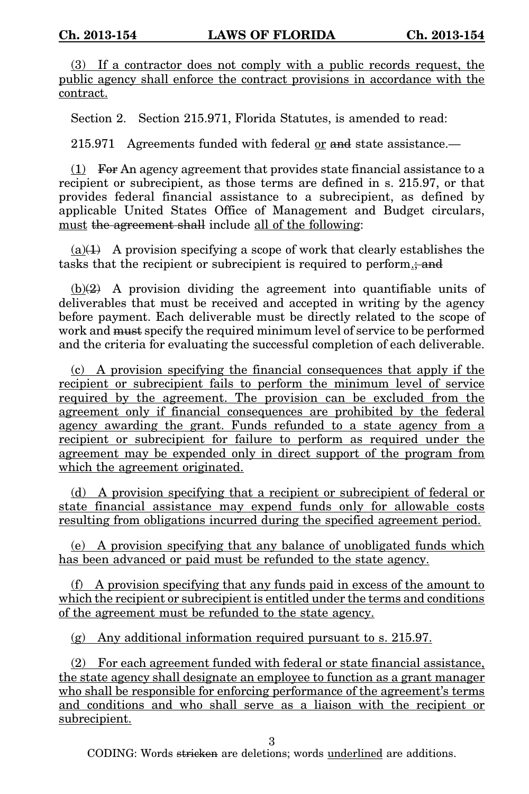(3) If a contractor does not comply with a public records request, the public agency shall enforce the contract provisions in accordance with the contract.

Section 2. Section 215.971, Florida Statutes, is amended to read:

215.971 Agreements funded with federal or and state assistance.—

 $(1)$  For An agency agreement that provides state financial assistance to a recipient or subrecipient, as those terms are defined in s. 215.97, or that provides federal financial assistance to a subrecipient, as defined by applicable United States Office of Management and Budget circulars, must the agreement shall include all of the following:

 $(a)(1)$  A provision specifying a scope of work that clearly establishes the tasks that the recipient or subrecipient is required to perform.; and

 $(b)(2)$  A provision dividing the agreement into quantifiable units of deliverables that must be received and accepted in writing by the agency before payment. Each deliverable must be directly related to the scope of work and must specify the required minimum level of service to be performed and the criteria for evaluating the successful completion of each deliverable.

(c) A provision specifying the financial consequences that apply if the recipient or subrecipient fails to perform the minimum level of service required by the agreement. The provision can be excluded from the agreement only if financial consequences are prohibited by the federal agency awarding the grant. Funds refunded to a state agency from a recipient or subrecipient for failure to perform as required under the agreement may be expended only in direct support of the program from which the agreement originated.

(d) A provision specifying that a recipient or subrecipient of federal or state financial assistance may expend funds only for allowable costs resulting from obligations incurred during the specified agreement period.

(e) A provision specifying that any balance of unobligated funds which has been advanced or paid must be refunded to the state agency.

(f) A provision specifying that any funds paid in excess of the amount to which the recipient or subrecipient is entitled under the terms and conditions of the agreement must be refunded to the state agency.

(g) Any additional information required pursuant to s. 215.97.

(2) For each agreement funded with federal or state financial assistance, the state agency shall designate an employee to function as a grant manager who shall be responsible for enforcing performance of the agreement's terms and conditions and who shall serve as a liaison with the recipient or subrecipient.

3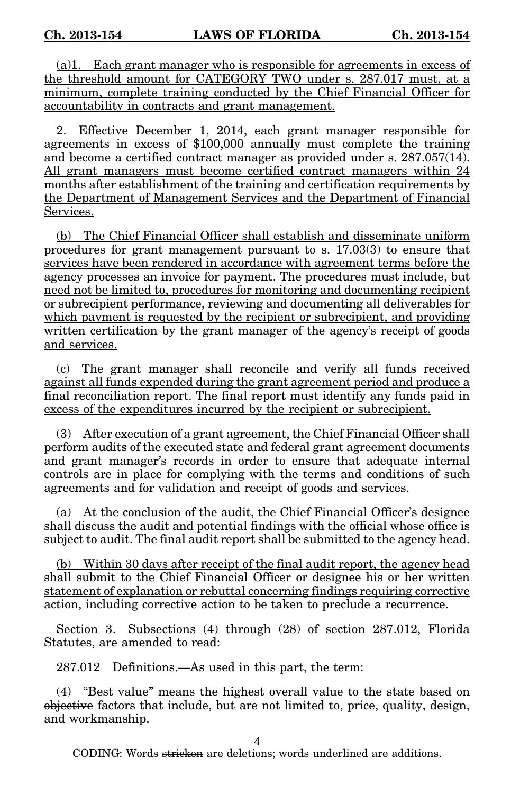(a)1. Each grant manager who is responsible for agreements in excess of the threshold amount for CATEGORY TWO under s. 287.017 must, at a minimum, complete training conducted by the Chief Financial Officer for accountability in contracts and grant management.

2. Effective December 1, 2014, each grant manager responsible for agreements in excess of \$100,000 annually must complete the training and become a certified contract manager as provided under s. 287.057(14). All grant managers must become certified contract managers within 24 months after establishment of the training and certification requirements by the Department of Management Services and the Department of Financial Services.

(b) The Chief Financial Officer shall establish and disseminate uniform procedures for grant management pursuant to s. 17.03(3) to ensure that services have been rendered in accordance with agreement terms before the agency processes an invoice for payment. The procedures must include, but need not be limited to, procedures for monitoring and documenting recipient or subrecipient performance, reviewing and documenting all deliverables for which payment is requested by the recipient or subrecipient, and providing written certification by the grant manager of the agency's receipt of goods and services.

(c) The grant manager shall reconcile and verify all funds received against all funds expended during the grant agreement period and produce a final reconciliation report. The final report must identify any funds paid in excess of the expenditures incurred by the recipient or subrecipient.

(3) After execution of a grant agreement, the Chief Financial Officer shall perform audits of the executed state and federal grant agreement documents and grant manager's records in order to ensure that adequate internal controls are in place for complying with the terms and conditions of such agreements and for validation and receipt of goods and services.

(a) At the conclusion of the audit, the Chief Financial Officer's designee shall discuss the audit and potential findings with the official whose office is subject to audit. The final audit report shall be submitted to the agency head.

(b) Within 30 days after receipt of the final audit report, the agency head shall submit to the Chief Financial Officer or designee his or her written statement of explanation or rebuttal concerning findings requiring corrective action, including corrective action to be taken to preclude a recurrence.

Section 3. Subsections (4) through (28) of section 287.012, Florida Statutes, are amended to read:

287.012 Definitions.—As used in this part, the term:

(4) "Best value" means the highest overall value to the state based on objective factors that include, but are not limited to, price, quality, design, and workmanship.

4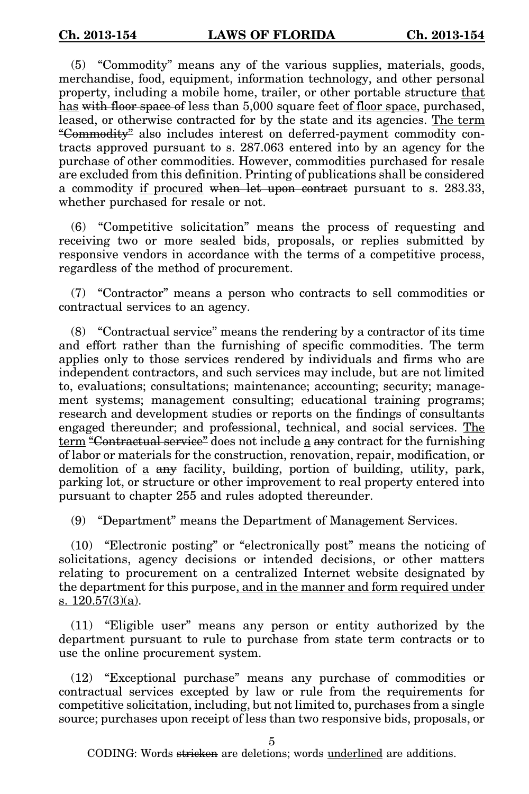(5) "Commodity" means any of the various supplies, materials, goods, merchandise, food, equipment, information technology, and other personal property, including a mobile home, trailer, or other portable structure that has with floor space of less than 5,000 square feet of floor space, purchased, leased, or otherwise contracted for by the state and its agencies. The term "Commodity" also includes interest on deferred-payment commodity contracts approved pursuant to s. 287.063 entered into by an agency for the purchase of other commodities. However, commodities purchased for resale are excluded from this definition. Printing of publications shall be considered a commodity if procured when let upon contract pursuant to s. 283.33, whether purchased for resale or not.

(6) "Competitive solicitation" means the process of requesting and receiving two or more sealed bids, proposals, or replies submitted by responsive vendors in accordance with the terms of a competitive process, regardless of the method of procurement.

(7) "Contractor" means a person who contracts to sell commodities or contractual services to an agency.

(8) "Contractual service" means the rendering by a contractor of its time and effort rather than the furnishing of specific commodities. The term applies only to those services rendered by individuals and firms who are independent contractors, and such services may include, but are not limited to, evaluations; consultations; maintenance; accounting; security; management systems; management consulting; educational training programs; research and development studies or reports on the findings of consultants engaged thereunder; and professional, technical, and social services. The term "Contractual service" does not include a any contract for the furnishing of labor or materials for the construction, renovation, repair, modification, or demolition of a any facility, building, portion of building, utility, park, parking lot, or structure or other improvement to real property entered into pursuant to chapter 255 and rules adopted thereunder.

(9) "Department" means the Department of Management Services.

(10) "Electronic posting" or "electronically post" means the noticing of solicitations, agency decisions or intended decisions, or other matters relating to procurement on a centralized Internet website designated by the department for this purpose, and in the manner and form required under s. 120.57(3)(a).

(11) "Eligible user" means any person or entity authorized by the department pursuant to rule to purchase from state term contracts or to use the online procurement system.

(12) "Exceptional purchase" means any purchase of commodities or contractual services excepted by law or rule from the requirements for competitive solicitation, including, but not limited to, purchases from a single source; purchases upon receipt of less than two responsive bids, proposals, or

5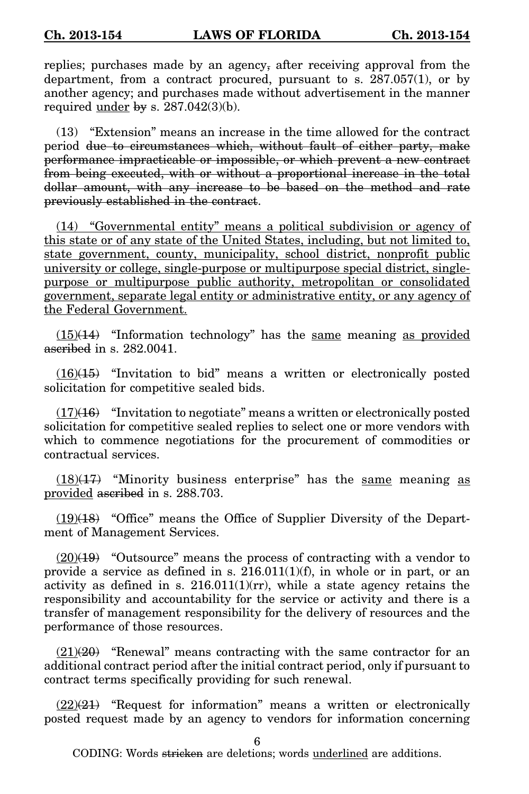replies; purchases made by an agency, after receiving approval from the department, from a contract procured, pursuant to s. 287.057(1), or by another agency; and purchases made without advertisement in the manner required under by s.  $287.042(3)(b)$ .

(13) "Extension" means an increase in the time allowed for the contract period due to circumstances which, without fault of either party, make performance impracticable or impossible, or which prevent a new contract from being executed, with or without a proportional increase in the total dollar amount, with any increase to be based on the method and rate previously established in the contract.

(14) "Governmental entity" means a political subdivision or agency of this state or of any state of the United States, including, but not limited to, state government, county, municipality, school district, nonprofit public university or college, single-purpose or multipurpose special district, singlepurpose or multipurpose public authority, metropolitan or consolidated government, separate legal entity or administrative entity, or any agency of the Federal Government.

 $(15)(14)$  "Information technology" has the same meaning as provided ascribed in s. 282,0041.

 $(16)(15)$  "Invitation to bid" means a written or electronically posted solicitation for competitive sealed bids.

 $(17)(16)$  "Invitation to negotiate" means a written or electronically posted solicitation for competitive sealed replies to select one or more vendors with which to commence negotiations for the procurement of commodities or contractual services.

 $(18)(17)$  "Minority business enterprise" has the same meaning as provided ascribed in s. 288.703.

 $(19)(18)$  "Office" means the Office of Supplier Diversity of the Department of Management Services.

 $(20)(19)$  "Outsource" means the process of contracting with a vendor to provide a service as defined in s.  $216.011(1)(f)$ , in whole or in part, or an activity as defined in s.  $216.011(1)(rr)$ , while a state agency retains the responsibility and accountability for the service or activity and there is a transfer of management responsibility for the delivery of resources and the performance of those resources.

 $(21)(20)$  "Renewal" means contracting with the same contractor for an additional contract period after the initial contract period, only if pursuant to contract terms specifically providing for such renewal.

 $(22)(21)$  "Request for information" means a written or electronically posted request made by an agency to vendors for information concerning

6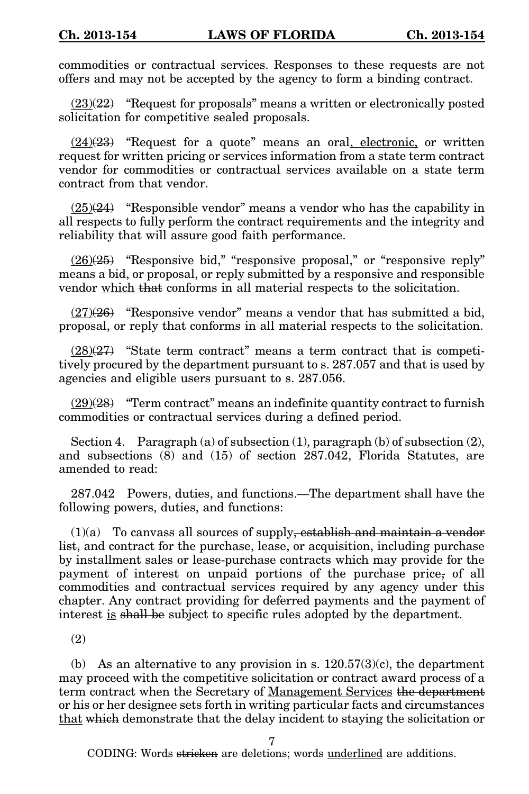commodities or contractual services. Responses to these requests are not offers and may not be accepted by the agency to form a binding contract.

 $(23)(22)$  "Request for proposals" means a written or electronically posted solicitation for competitive sealed proposals.

 $(24)(23)$  "Request for a quote" means an oral, electronic, or written request for written pricing or services information from a state term contract vendor for commodities or contractual services available on a state term contract from that vendor.

 $(25)(24)$  "Responsible vendor" means a vendor who has the capability in all respects to fully perform the contract requirements and the integrity and reliability that will assure good faith performance.

 $(26)(25)$  "Responsive bid," "responsive proposal," or "responsive reply" means a bid, or proposal, or reply submitted by a responsive and responsible vendor which that conforms in all material respects to the solicitation.

 $(27)(26)$  "Responsive vendor" means a vendor that has submitted a bid, proposal, or reply that conforms in all material respects to the solicitation.

 $(28)(27)$  "State term contract" means a term contract that is competitively procured by the department pursuant to s. 287.057 and that is used by agencies and eligible users pursuant to s. 287.056.

 $(29)(28)$  "Term contract" means an indefinite quantity contract to furnish commodities or contractual services during a defined period.

Section 4. Paragraph (a) of subsection (1), paragraph (b) of subsection (2), and subsections (8) and (15) of section 287.042, Florida Statutes, are amended to read:

287.042 Powers, duties, and functions.—The department shall have the following powers, duties, and functions:

 $(1)(a)$  To canvass all sources of supply, establish and maintain a vendor list, and contract for the purchase, lease, or acquisition, including purchase by installment sales or lease-purchase contracts which may provide for the payment of interest on unpaid portions of the purchase price, of all commodities and contractual services required by any agency under this chapter. Any contract providing for deferred payments and the payment of interest is shall be subject to specific rules adopted by the department.

(2)

(b) As an alternative to any provision in s.  $120.57(3)(c)$ , the department may proceed with the competitive solicitation or contract award process of a term contract when the Secretary of Management Services the department or his or her designee sets forth in writing particular facts and circumstances that which demonstrate that the delay incident to staying the solicitation or

7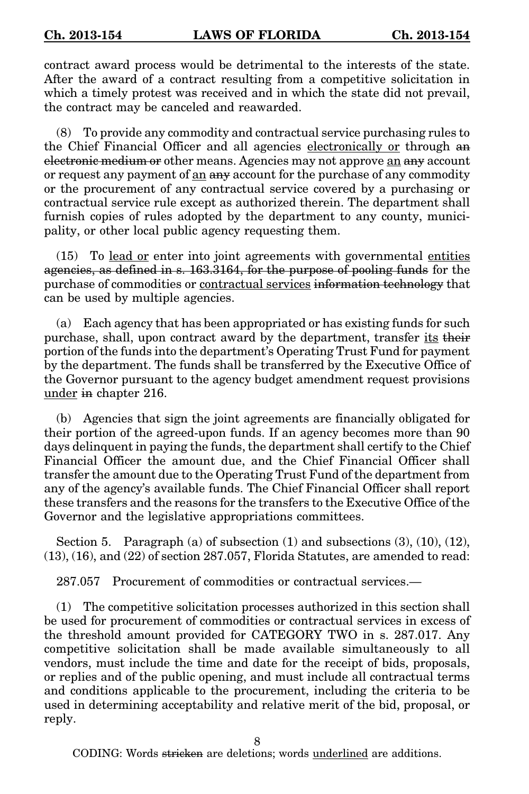contract award process would be detrimental to the interests of the state. After the award of a contract resulting from a competitive solicitation in which a timely protest was received and in which the state did not prevail, the contract may be canceled and reawarded.

(8) To provide any commodity and contractual service purchasing rules to the Chief Financial Officer and all agencies electronically or through an electronic medium or other means. Agencies may not approve an any account or request any payment of an any account for the purchase of any commodity or the procurement of any contractual service covered by a purchasing or contractual service rule except as authorized therein. The department shall furnish copies of rules adopted by the department to any county, municipality, or other local public agency requesting them.

(15) To lead or enter into joint agreements with governmental entities agencies, as defined in s. 163.3164, for the purpose of pooling funds for the purchase of commodities or contractual services information technology that can be used by multiple agencies.

(a) Each agency that has been appropriated or has existing funds for such purchase, shall, upon contract award by the department, transfer its their portion of the funds into the department's Operating Trust Fund for payment by the department. The funds shall be transferred by the Executive Office of the Governor pursuant to the agency budget amendment request provisions under in chapter 216.

(b) Agencies that sign the joint agreements are financially obligated for their portion of the agreed-upon funds. If an agency becomes more than 90 days delinquent in paying the funds, the department shall certify to the Chief Financial Officer the amount due, and the Chief Financial Officer shall transfer the amount due to the Operating Trust Fund of the department from any of the agency's available funds. The Chief Financial Officer shall report these transfers and the reasons for the transfers to the Executive Office of the Governor and the legislative appropriations committees.

Section 5. Paragraph (a) of subsection  $(1)$  and subsections  $(3)$ ,  $(10)$ ,  $(12)$ ,  $(13)$ ,  $(16)$ , and  $(22)$  of section 287.057, Florida Statutes, are amended to read:

287.057 Procurement of commodities or contractual services.—

(1) The competitive solicitation processes authorized in this section shall be used for procurement of commodities or contractual services in excess of the threshold amount provided for CATEGORY TWO in s. 287.017. Any competitive solicitation shall be made available simultaneously to all vendors, must include the time and date for the receipt of bids, proposals, or replies and of the public opening, and must include all contractual terms and conditions applicable to the procurement, including the criteria to be used in determining acceptability and relative merit of the bid, proposal, or reply.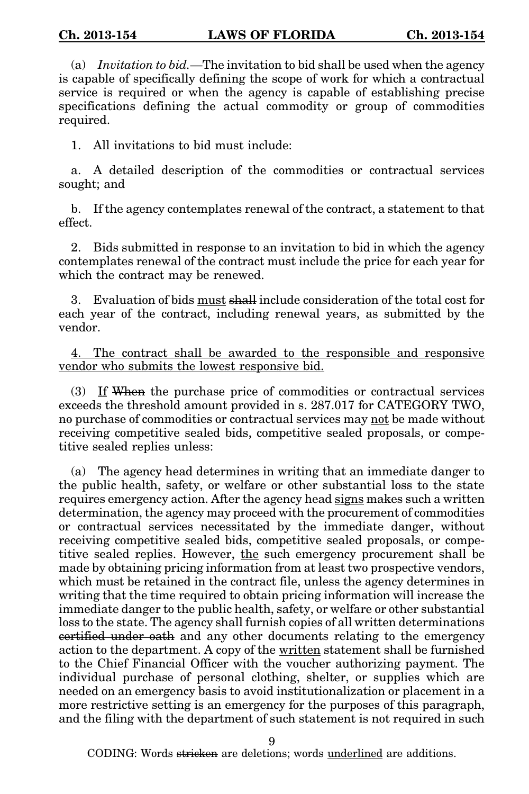(a) Invitation to bid.—The invitation to bid shall be used when the agency is capable of specifically defining the scope of work for which a contractual service is required or when the agency is capable of establishing precise specifications defining the actual commodity or group of commodities required.

1. All invitations to bid must include:

a. A detailed description of the commodities or contractual services sought; and

b. If the agency contemplates renewal of the contract, a statement to that effect.

2. Bids submitted in response to an invitation to bid in which the agency contemplates renewal of the contract must include the price for each year for which the contract may be renewed.

3. Evaluation of bids must shall include consideration of the total cost for each year of the contract, including renewal years, as submitted by the vendor.

4. The contract shall be awarded to the responsible and responsive vendor who submits the lowest responsive bid.

 $(3)$  If When the purchase price of commodities or contractual services exceeds the threshold amount provided in s. 287.017 for CATEGORY TWO, no purchase of commodities or contractual services may not be made without receiving competitive sealed bids, competitive sealed proposals, or competitive sealed replies unless:

(a) The agency head determines in writing that an immediate danger to the public health, safety, or welfare or other substantial loss to the state requires emergency action. After the agency head signs makes such a written determination, the agency may proceed with the procurement of commodities or contractual services necessitated by the immediate danger, without receiving competitive sealed bids, competitive sealed proposals, or competitive sealed replies. However, the such emergency procurement shall be made by obtaining pricing information from at least two prospective vendors, which must be retained in the contract file, unless the agency determines in writing that the time required to obtain pricing information will increase the immediate danger to the public health, safety, or welfare or other substantial loss to the state. The agency shall furnish copies of all written determinations certified under oath and any other documents relating to the emergency action to the department. A copy of the written statement shall be furnished to the Chief Financial Officer with the voucher authorizing payment. The individual purchase of personal clothing, shelter, or supplies which are needed on an emergency basis to avoid institutionalization or placement in a more restrictive setting is an emergency for the purposes of this paragraph, and the filing with the department of such statement is not required in such

9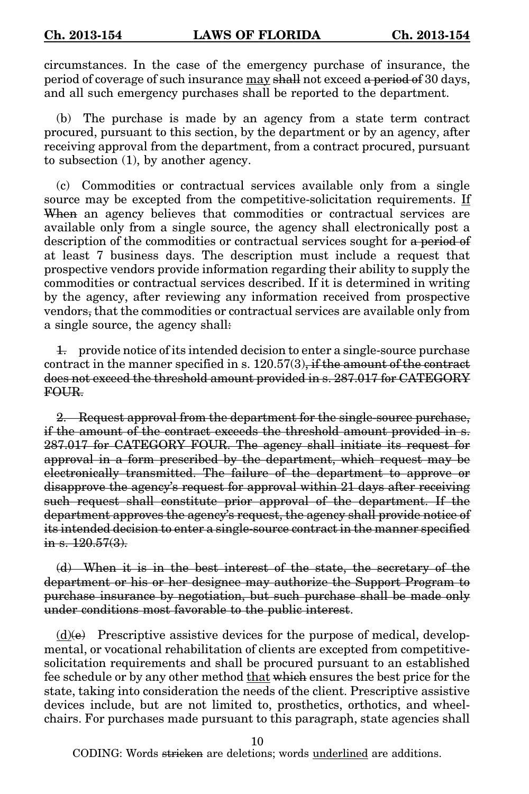circumstances. In the case of the emergency purchase of insurance, the period of coverage of such insurance may shall not exceed a period of 30 days, and all such emergency purchases shall be reported to the department.

(b) The purchase is made by an agency from a state term contract procured, pursuant to this section, by the department or by an agency, after receiving approval from the department, from a contract procured, pursuant to subsection (1), by another agency.

(c) Commodities or contractual services available only from a single source may be excepted from the competitive-solicitation requirements. If When an agency believes that commodities or contractual services are available only from a single source, the agency shall electronically post a description of the commodities or contractual services sought for a period of at least 7 business days. The description must include a request that prospective vendors provide information regarding their ability to supply the commodities or contractual services described. If it is determined in writing by the agency, after reviewing any information received from prospective vendors, that the commodities or contractual services are available only from a single source, the agency shall:

1. provide notice of its intended decision to enter a single-source purchase contract in the manner specified in s. 120.57(3), if the amount of the contract does not exceed the threshold amount provided in s. 287.017 for CATEGORY FOUR.

2. Request approval from the department for the single-source purchase, if the amount of the contract exceeds the threshold amount provided in s. 287.017 for CATEGORY FOUR. The agency shall initiate its request for approval in a form prescribed by the department, which request may be electronically transmitted. The failure of the department to approve or disapprove the agency's request for approval within 21 days after receiving such request shall constitute prior approval of the department. If the department approves the agency's request, the agency shall provide notice of its intended decision to enter a single-source contract in the manner specified in s.  $120.57(3)$ .

(d) When it is in the best interest of the state, the secretary of the department or his or her designee may authorize the Support Program to purchase insurance by negotiation, but such purchase shall be made only under conditions most favorable to the public interest.

 $(d)$ (e) Prescriptive assistive devices for the purpose of medical, developmental, or vocational rehabilitation of clients are excepted from competitivesolicitation requirements and shall be procured pursuant to an established fee schedule or by any other method that which ensures the best price for the state, taking into consideration the needs of the client. Prescriptive assistive devices include, but are not limited to, prosthetics, orthotics, and wheelchairs. For purchases made pursuant to this paragraph, state agencies shall

10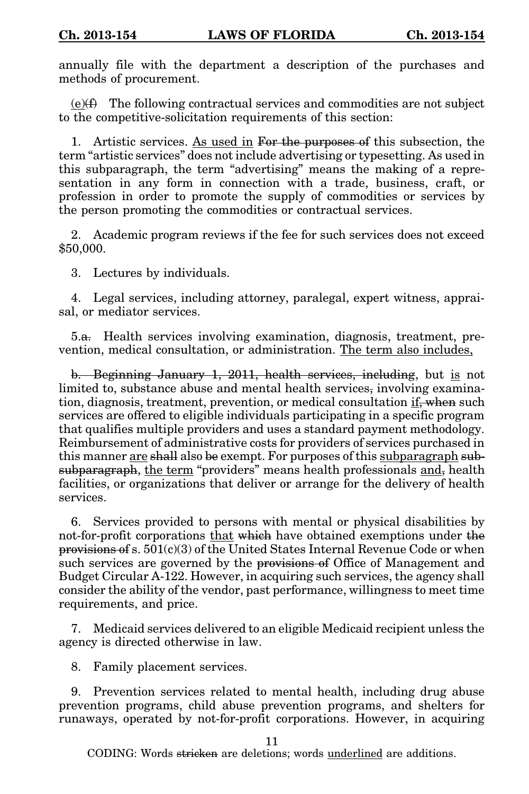annually file with the department a description of the purchases and methods of procurement.

 $(e)$ ( $f$ ) The following contractual services and commodities are not subject to the competitive-solicitation requirements of this section:

1. Artistic services. As used in For the purposes of this subsection, the term "artistic services" does not include advertising or typesetting. As used in this subparagraph, the term "advertising" means the making of a representation in any form in connection with a trade, business, craft, or profession in order to promote the supply of commodities or services by the person promoting the commodities or contractual services.

2. Academic program reviews if the fee for such services does not exceed \$50,000.

3. Lectures by individuals.

4. Legal services, including attorney, paralegal, expert witness, appraisal, or mediator services.

5.a. Health services involving examination, diagnosis, treatment, prevention, medical consultation, or administration. The term also includes,

b. Beginning January 1, 2011, health services, including, but is not limited to, substance abuse and mental health services, involving examination, diagnosis, treatment, prevention, or medical consultation if, when such services are offered to eligible individuals participating in a specific program that qualifies multiple providers and uses a standard payment methodology. Reimbursement of administrative costs for providers of services purchased in this manner are shall also be exempt. For purposes of this subparagraph subsubparagraph, the term "providers" means health professionals and, health facilities, or organizations that deliver or arrange for the delivery of health services.

6. Services provided to persons with mental or physical disabilities by not-for-profit corporations that which have obtained exemptions under the provisions of s. 501(c)(3) of the United States Internal Revenue Code or when such services are governed by the provisions of Office of Management and Budget Circular A-122. However, in acquiring such services, the agency shall consider the ability of the vendor, past performance, willingness to meet time requirements, and price.

7. Medicaid services delivered to an eligible Medicaid recipient unless the agency is directed otherwise in law.

8. Family placement services.

9. Prevention services related to mental health, including drug abuse prevention programs, child abuse prevention programs, and shelters for runaways, operated by not-for-profit corporations. However, in acquiring

11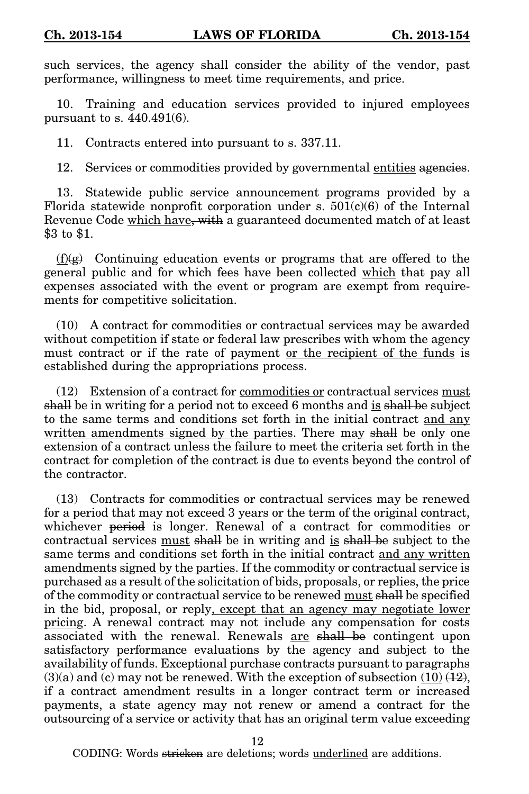such services, the agency shall consider the ability of the vendor, past performance, willingness to meet time requirements, and price.

10. Training and education services provided to injured employees pursuant to s. 440.491(6).

11. Contracts entered into pursuant to s. 337.11.

12. Services or commodities provided by governmental entities agencies.

13. Statewide public service announcement programs provided by a Florida statewide nonprofit corporation under s.  $501(c)(6)$  of the Internal Revenue Code which have, with a guaranteed documented match of at least \$3 to \$1.

 $(f)(g)$  Continuing education events or programs that are offered to the general public and for which fees have been collected which that pay all expenses associated with the event or program are exempt from requirements for competitive solicitation.

(10) A contract for commodities or contractual services may be awarded without competition if state or federal law prescribes with whom the agency must contract or if the rate of payment or the recipient of the funds is established during the appropriations process.

(12) Extension of a contract for commodities or contractual services must shall be in writing for a period not to exceed 6 months and is shall be subject to the same terms and conditions set forth in the initial contract and any written amendments signed by the parties. There may shall be only one extension of a contract unless the failure to meet the criteria set forth in the contract for completion of the contract is due to events beyond the control of the contractor.

(13) Contracts for commodities or contractual services may be renewed for a period that may not exceed 3 years or the term of the original contract, whichever period is longer. Renewal of a contract for commodities or contractual services must shall be in writing and is shall be subject to the same terms and conditions set forth in the initial contract and any written amendments signed by the parties. If the commodity or contractual service is purchased as a result of the solicitation of bids, proposals, or replies, the price of the commodity or contractual service to be renewed must shall be specified in the bid, proposal, or reply, except that an agency may negotiate lower pricing. A renewal contract may not include any compensation for costs associated with the renewal. Renewals are shall be contingent upon satisfactory performance evaluations by the agency and subject to the availability of funds. Exceptional purchase contracts pursuant to paragraphs  $(3)(a)$  and (c) may not be renewed. With the exception of subsection  $(10)(12)$ , if a contract amendment results in a longer contract term or increased payments, a state agency may not renew or amend a contract for the outsourcing of a service or activity that has an original term value exceeding

12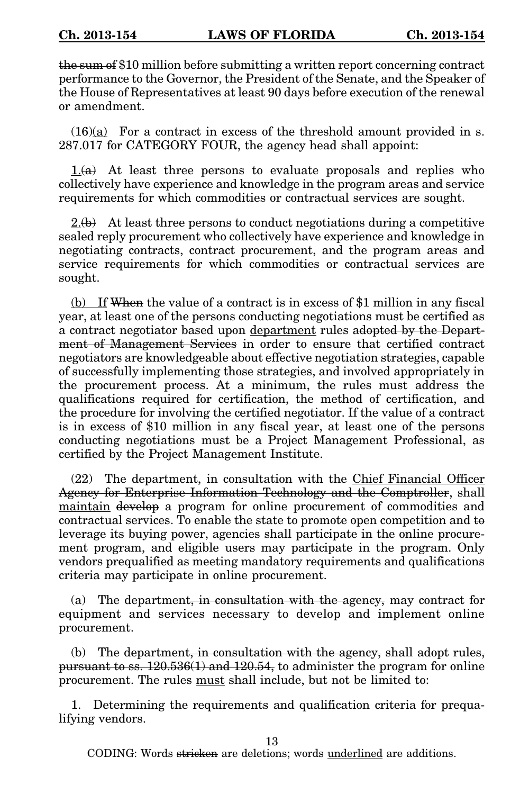the sum of \$10 million before submitting a written report concerning contract performance to the Governor, the President of the Senate, and the Speaker of the House of Representatives at least 90 days before execution of the renewal or amendment.

 $(16)(a)$  For a contract in excess of the threshold amount provided in s. 287.017 for CATEGORY FOUR, the agency head shall appoint:

 $1.6a$  At least three persons to evaluate proposals and replies who collectively have experience and knowledge in the program areas and service requirements for which commodities or contractual services are sought.

 $2(b)$  At least three persons to conduct negotiations during a competitive sealed reply procurement who collectively have experience and knowledge in negotiating contracts, contract procurement, and the program areas and service requirements for which commodities or contractual services are sought.

(b) If When the value of a contract is in excess of \$1 million in any fiscal year, at least one of the persons conducting negotiations must be certified as a contract negotiator based upon department rules adopted by the Department of Management Services in order to ensure that certified contract negotiators are knowledgeable about effective negotiation strategies, capable of successfully implementing those strategies, and involved appropriately in the procurement process. At a minimum, the rules must address the qualifications required for certification, the method of certification, and the procedure for involving the certified negotiator. If the value of a contract is in excess of \$10 million in any fiscal year, at least one of the persons conducting negotiations must be a Project Management Professional, as certified by the Project Management Institute.

(22) The department, in consultation with the Chief Financial Officer Agency for Enterprise Information Technology and the Comptroller, shall maintain develop a program for online procurement of commodities and contractual services. To enable the state to promote open competition and to leverage its buying power, agencies shall participate in the online procurement program, and eligible users may participate in the program. Only vendors prequalified as meeting mandatory requirements and qualifications criteria may participate in online procurement.

(a) The department, in consultation with the agency, may contract for equipment and services necessary to develop and implement online procurement.

(b) The department, in consultation with the agency, shall adopt rules, pursuant to ss. 120.536(1) and 120.54, to administer the program for online procurement. The rules must shall include, but not be limited to:

1. Determining the requirements and qualification criteria for prequalifying vendors.

13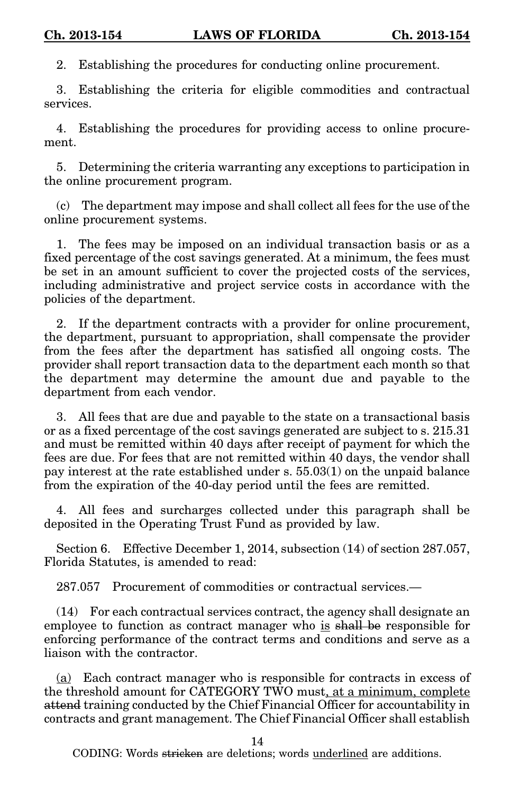2. Establishing the procedures for conducting online procurement.

3. Establishing the criteria for eligible commodities and contractual services.

4. Establishing the procedures for providing access to online procurement.

5. Determining the criteria warranting any exceptions to participation in the online procurement program.

(c) The department may impose and shall collect all fees for the use of the online procurement systems.

1. The fees may be imposed on an individual transaction basis or as a fixed percentage of the cost savings generated. At a minimum, the fees must be set in an amount sufficient to cover the projected costs of the services, including administrative and project service costs in accordance with the policies of the department.

2. If the department contracts with a provider for online procurement, the department, pursuant to appropriation, shall compensate the provider from the fees after the department has satisfied all ongoing costs. The provider shall report transaction data to the department each month so that the department may determine the amount due and payable to the department from each vendor.

3. All fees that are due and payable to the state on a transactional basis or as a fixed percentage of the cost savings generated are subject to s. 215.31 and must be remitted within 40 days after receipt of payment for which the fees are due. For fees that are not remitted within 40 days, the vendor shall pay interest at the rate established under s. 55.03(1) on the unpaid balance from the expiration of the 40-day period until the fees are remitted.

4. All fees and surcharges collected under this paragraph shall be deposited in the Operating Trust Fund as provided by law.

Section 6. Effective December 1, 2014, subsection (14) of section 287.057, Florida Statutes, is amended to read:

287.057 Procurement of commodities or contractual services.—

(14) For each contractual services contract, the agency shall designate an employee to function as contract manager who is shall be responsible for enforcing performance of the contract terms and conditions and serve as a liaison with the contractor.

(a) Each contract manager who is responsible for contracts in excess of the threshold amount for CATEGORY TWO must, at a minimum, complete attend training conducted by the Chief Financial Officer for accountability in contracts and grant management. The Chief Financial Officer shall establish

14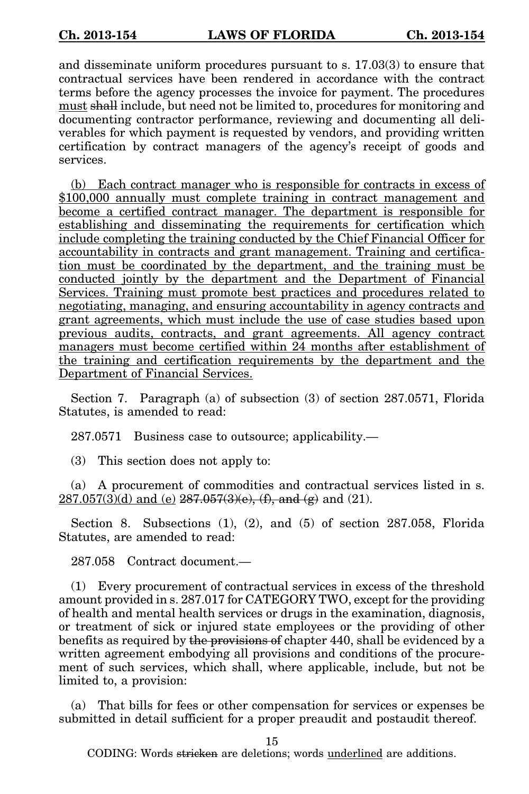and disseminate uniform procedures pursuant to s. 17.03(3) to ensure that contractual services have been rendered in accordance with the contract terms before the agency processes the invoice for payment. The procedures must shall include, but need not be limited to, procedures for monitoring and documenting contractor performance, reviewing and documenting all deliverables for which payment is requested by vendors, and providing written certification by contract managers of the agency's receipt of goods and services.

(b) Each contract manager who is responsible for contracts in excess of \$100,000 annually must complete training in contract management and become a certified contract manager. The department is responsible for establishing and disseminating the requirements for certification which include completing the training conducted by the Chief Financial Officer for accountability in contracts and grant management. Training and certification must be coordinated by the department, and the training must be conducted jointly by the department and the Department of Financial Services. Training must promote best practices and procedures related to negotiating, managing, and ensuring accountability in agency contracts and grant agreements, which must include the use of case studies based upon previous audits, contracts, and grant agreements. All agency contract managers must become certified within 24 months after establishment of the training and certification requirements by the department and the Department of Financial Services.

Section 7. Paragraph (a) of subsection (3) of section 287.0571, Florida Statutes, is amended to read:

287.0571 Business case to outsource; applicability.—

(3) This section does not apply to:

(a) A procurement of commodities and contractual services listed in s.  $287.057(3)(d)$  and (e)  $287.057(3)(e)$ , (f), and (g) and (21).

Section 8. Subsections (1), (2), and (5) of section 287.058, Florida Statutes, are amended to read:

287.058 Contract document.—

(1) Every procurement of contractual services in excess of the threshold amount provided in s. 287.017 for CATEGORY TWO, except for the providing of health and mental health services or drugs in the examination, diagnosis, or treatment of sick or injured state employees or the providing of other benefits as required by the provisions of chapter 440, shall be evidenced by a written agreement embodying all provisions and conditions of the procurement of such services, which shall, where applicable, include, but not be limited to, a provision:

(a) That bills for fees or other compensation for services or expenses be submitted in detail sufficient for a proper preaudit and postaudit thereof.

15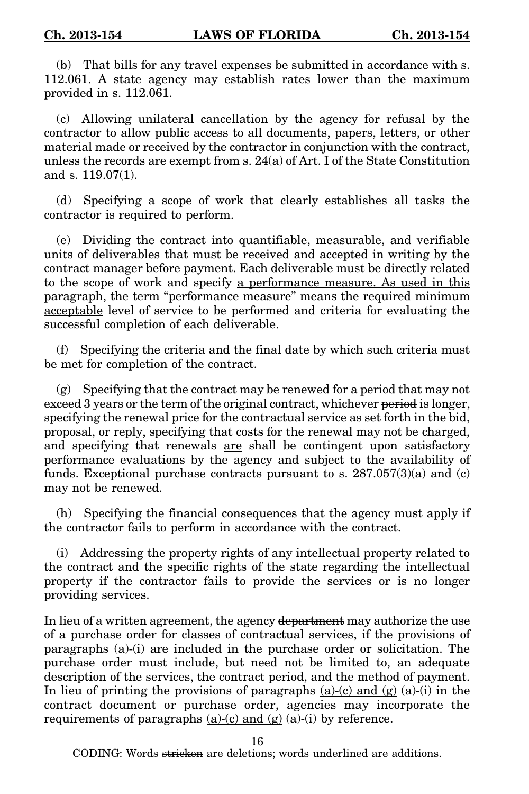(b) That bills for any travel expenses be submitted in accordance with s. 112.061. A state agency may establish rates lower than the maximum provided in s. 112.061.

(c) Allowing unilateral cancellation by the agency for refusal by the contractor to allow public access to all documents, papers, letters, or other material made or received by the contractor in conjunction with the contract, unless the records are exempt from s. 24(a) of Art. I of the State Constitution and s. 119.07(1).

(d) Specifying a scope of work that clearly establishes all tasks the contractor is required to perform.

(e) Dividing the contract into quantifiable, measurable, and verifiable units of deliverables that must be received and accepted in writing by the contract manager before payment. Each deliverable must be directly related to the scope of work and specify a performance measure. As used in this paragraph, the term "performance measure" means the required minimum acceptable level of service to be performed and criteria for evaluating the successful completion of each deliverable.

(f) Specifying the criteria and the final date by which such criteria must be met for completion of the contract.

(g) Specifying that the contract may be renewed for a period that may not exceed 3 years or the term of the original contract, whichever period is longer, specifying the renewal price for the contractual service as set forth in the bid, proposal, or reply, specifying that costs for the renewal may not be charged, and specifying that renewals are shall be contingent upon satisfactory performance evaluations by the agency and subject to the availability of funds. Exceptional purchase contracts pursuant to s.  $287.057(3)(a)$  and (c) may not be renewed.

(h) Specifying the financial consequences that the agency must apply if the contractor fails to perform in accordance with the contract.

(i) Addressing the property rights of any intellectual property related to the contract and the specific rights of the state regarding the intellectual property if the contractor fails to provide the services or is no longer providing services.

In lieu of a written agreement, the agency department may authorize the use of a purchase order for classes of contractual services, if the provisions of paragraphs (a)-(i) are included in the purchase order or solicitation. The purchase order must include, but need not be limited to, an adequate description of the services, the contract period, and the method of payment. In lieu of printing the provisions of paragraphs (a)-(c) and (g)  $(a)+(i)$  in the contract document or purchase order, agencies may incorporate the requirements of paragraphs  $(a)-(c)$  and  $(g)$   $(a)+(i)$  by reference.

16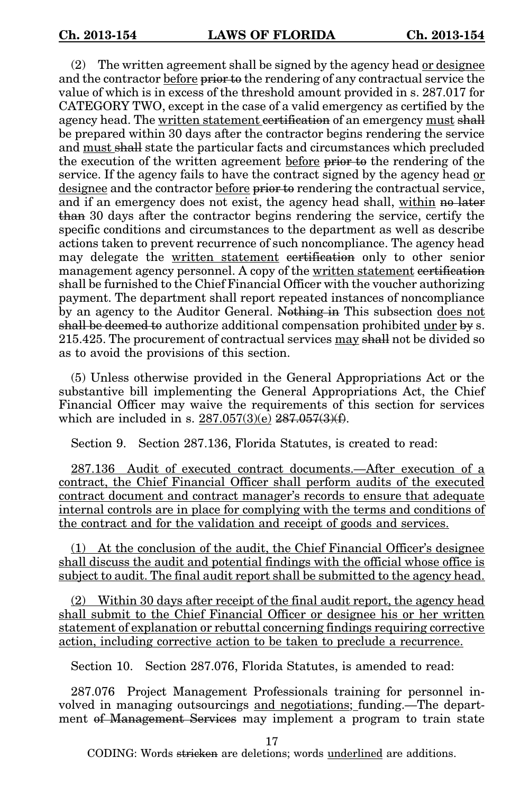(2) The written agreement shall be signed by the agency head or designee and the contractor before prior to the rendering of any contractual service the value of which is in excess of the threshold amount provided in s. 287.017 for CATEGORY TWO, except in the case of a valid emergency as certified by the agency head. The written statement certification of an emergency must shall be prepared within 30 days after the contractor begins rendering the service and must shall state the particular facts and circumstances which precluded the execution of the written agreement before prior to the rendering of the service. If the agency fails to have the contract signed by the agency head or designee and the contractor before prior to rendering the contractual service, and if an emergency does not exist, the agency head shall, within no later than 30 days after the contractor begins rendering the service, certify the specific conditions and circumstances to the department as well as describe actions taken to prevent recurrence of such noncompliance. The agency head may delegate the written statement certification only to other senior management agency personnel. A copy of the written statement certification shall be furnished to the Chief Financial Officer with the voucher authorizing payment. The department shall report repeated instances of noncompliance by an agency to the Auditor General. Nothing in This subsection does not shall be deemed to authorize additional compensation prohibited under by s. 215.425. The procurement of contractual services may shall not be divided so as to avoid the provisions of this section.

(5) Unless otherwise provided in the General Appropriations Act or the substantive bill implementing the General Appropriations Act, the Chief Financial Officer may waive the requirements of this section for services which are included in s.  $287.057(3)(e)$   $287.057(3)(f)$ .

Section 9. Section 287.136, Florida Statutes, is created to read:

287.136 Audit of executed contract documents.—After execution of a contract, the Chief Financial Officer shall perform audits of the executed contract document and contract manager's records to ensure that adequate internal controls are in place for complying with the terms and conditions of the contract and for the validation and receipt of goods and services.

(1) At the conclusion of the audit, the Chief Financial Officer's designee shall discuss the audit and potential findings with the official whose office is subject to audit. The final audit report shall be submitted to the agency head.

(2) Within 30 days after receipt of the final audit report, the agency head shall submit to the Chief Financial Officer or designee his or her written statement of explanation or rebuttal concerning findings requiring corrective action, including corrective action to be taken to preclude a recurrence.

Section 10. Section 287.076, Florida Statutes, is amended to read:

287.076 Project Management Professionals training for personnel involved in managing outsourcings and negotiations; funding.—The department of Management Services may implement a program to train state

17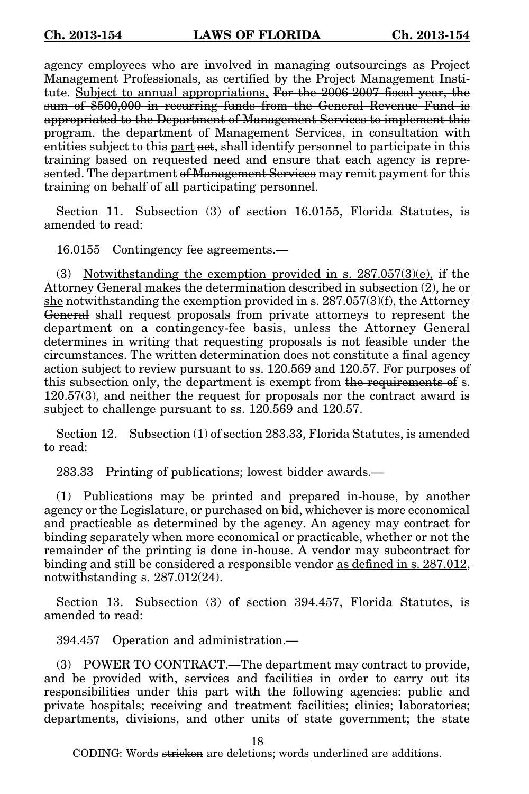agency employees who are involved in managing outsourcings as Project Management Professionals, as certified by the Project Management Institute. Subject to annual appropriations, For the 2006-2007 fiscal year, the sum of \$500,000 in recurring funds from the General Revenue Fund is appropriated to the Department of Management Services to implement this program. the department of Management Services, in consultation with entities subject to this part act, shall identify personnel to participate in this training based on requested need and ensure that each agency is represented. The department of Management Services may remit payment for this training on behalf of all participating personnel.

Section 11. Subsection (3) of section 16.0155, Florida Statutes, is amended to read:

16.0155 Contingency fee agreements.—

(3) Notwithstanding the exemption provided in s. 287.057(3)(e), if the Attorney General makes the determination described in subsection (2), he or she notwithstanding the exemption provided in  $s. 287.057(3)(f)$ , the Attorney General shall request proposals from private attorneys to represent the department on a contingency-fee basis, unless the Attorney General determines in writing that requesting proposals is not feasible under the circumstances. The written determination does not constitute a final agency action subject to review pursuant to ss. 120.569 and 120.57. For purposes of this subsection only, the department is exempt from the requirements of s. 120.57(3), and neither the request for proposals nor the contract award is subject to challenge pursuant to ss. 120.569 and 120.57.

Section 12. Subsection (1) of section 283.33, Florida Statutes, is amended to read:

283.33 Printing of publications; lowest bidder awards.—

(1) Publications may be printed and prepared in-house, by another agency or the Legislature, or purchased on bid, whichever is more economical and practicable as determined by the agency. An agency may contract for binding separately when more economical or practicable, whether or not the remainder of the printing is done in-house. A vendor may subcontract for binding and still be considered a responsible vendor as defined in s.  $287.012$ , notwithstanding s. 287.012(24).

Section 13. Subsection (3) of section 394.457, Florida Statutes, is amended to read:

394.457 Operation and administration.—

(3) POWER TO CONTRACT.—The department may contract to provide, and be provided with, services and facilities in order to carry out its responsibilities under this part with the following agencies: public and private hospitals; receiving and treatment facilities; clinics; laboratories; departments, divisions, and other units of state government; the state

18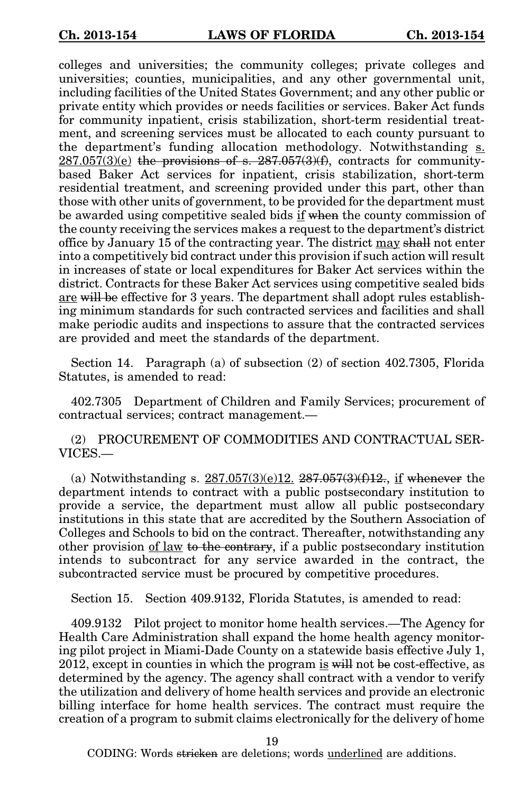colleges and universities; the community colleges; private colleges and universities; counties, municipalities, and any other governmental unit, including facilities of the United States Government; and any other public or private entity which provides or needs facilities or services. Baker Act funds for community inpatient, crisis stabilization, short-term residential treatment, and screening services must be allocated to each county pursuant to the department's funding allocation methodology. Notwithstanding s.  $287.057(3)(e)$  the provisions of s.  $287.057(3)(f)$ , contracts for communitybased Baker Act services for inpatient, crisis stabilization, short-term residential treatment, and screening provided under this part, other than those with other units of government, to be provided for the department must be awarded using competitive sealed bids if when the county commission of the county receiving the services makes a request to the department's district office by January 15 of the contracting year. The district may shall not enter into a competitively bid contract under this provision if such action will result in increases of state or local expenditures for Baker Act services within the district. Contracts for these Baker Act services using competitive sealed bids are will be effective for 3 years. The department shall adopt rules establishing minimum standards for such contracted services and facilities and shall make periodic audits and inspections to assure that the contracted services are provided and meet the standards of the department.

Section 14. Paragraph (a) of subsection (2) of section 402.7305, Florida Statutes, is amended to read:

402.7305 Department of Children and Family Services; procurement of contractual services; contract management.—

(2) PROCUREMENT OF COMMODITIES AND CONTRACTUAL SER-VICES.—

(a) Notwithstanding s.  $287.057(3)(e)12$ .  $287.057(3)(f)12$ ., if whenever the department intends to contract with a public postsecondary institution to provide a service, the department must allow all public postsecondary institutions in this state that are accredited by the Southern Association of Colleges and Schools to bid on the contract. Thereafter, notwithstanding any other provision of law to the contrary, if a public postsecondary institution intends to subcontract for any service awarded in the contract, the subcontracted service must be procured by competitive procedures.

Section 15. Section 409.9132, Florida Statutes, is amended to read:

409.9132 Pilot project to monitor home health services.—The Agency for Health Care Administration shall expand the home health agency monitoring pilot project in Miami-Dade County on a statewide basis effective July 1, 2012, except in counties in which the program is will not be cost-effective, as determined by the agency. The agency shall contract with a vendor to verify the utilization and delivery of home health services and provide an electronic billing interface for home health services. The contract must require the creation of a program to submit claims electronically for the delivery of home

19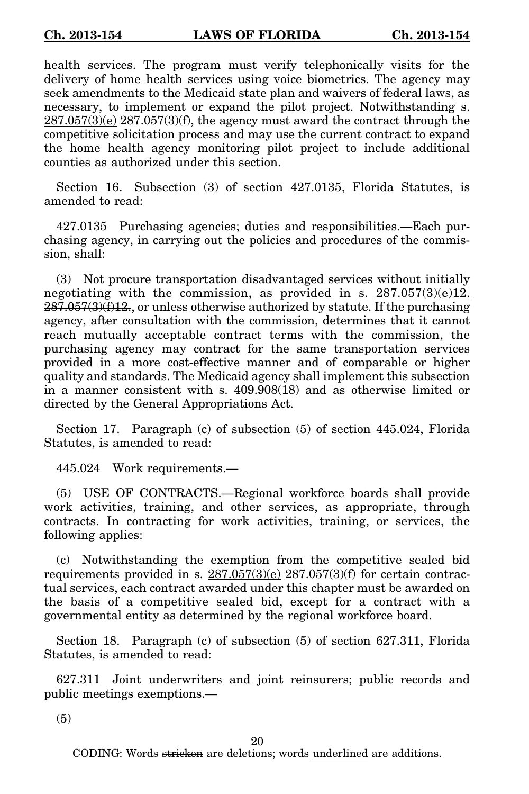health services. The program must verify telephonically visits for the delivery of home health services using voice biometrics. The agency may seek amendments to the Medicaid state plan and waivers of federal laws, as necessary, to implement or expand the pilot project. Notwithstanding s.  $287.057(3)(e)$   $287.057(3)(f)$ , the agency must award the contract through the competitive solicitation process and may use the current contract to expand the home health agency monitoring pilot project to include additional counties as authorized under this section.

Section 16. Subsection (3) of section 427.0135, Florida Statutes, is amended to read:

427.0135 Purchasing agencies; duties and responsibilities.—Each purchasing agency, in carrying out the policies and procedures of the commission, shall:

(3) Not procure transportation disadvantaged services without initially negotiating with the commission, as provided in s.  $287.057(3)(e)12$ .  $287.057(3)(f)12$ , or unless otherwise authorized by statute. If the purchasing agency, after consultation with the commission, determines that it cannot reach mutually acceptable contract terms with the commission, the purchasing agency may contract for the same transportation services provided in a more cost-effective manner and of comparable or higher quality and standards. The Medicaid agency shall implement this subsection in a manner consistent with s. 409.908(18) and as otherwise limited or directed by the General Appropriations Act.

Section 17. Paragraph (c) of subsection (5) of section 445.024, Florida Statutes, is amended to read:

445.024 Work requirements.—

(5) USE OF CONTRACTS.—Regional workforce boards shall provide work activities, training, and other services, as appropriate, through contracts. In contracting for work activities, training, or services, the following applies:

(c) Notwithstanding the exemption from the competitive sealed bid requirements provided in s.  $287.057(3)(e)$   $287.057(3)(f)$  for certain contractual services, each contract awarded under this chapter must be awarded on the basis of a competitive sealed bid, except for a contract with a governmental entity as determined by the regional workforce board.

Section 18. Paragraph (c) of subsection (5) of section 627.311, Florida Statutes, is amended to read:

627.311 Joint underwriters and joint reinsurers; public records and public meetings exemptions.—

(5)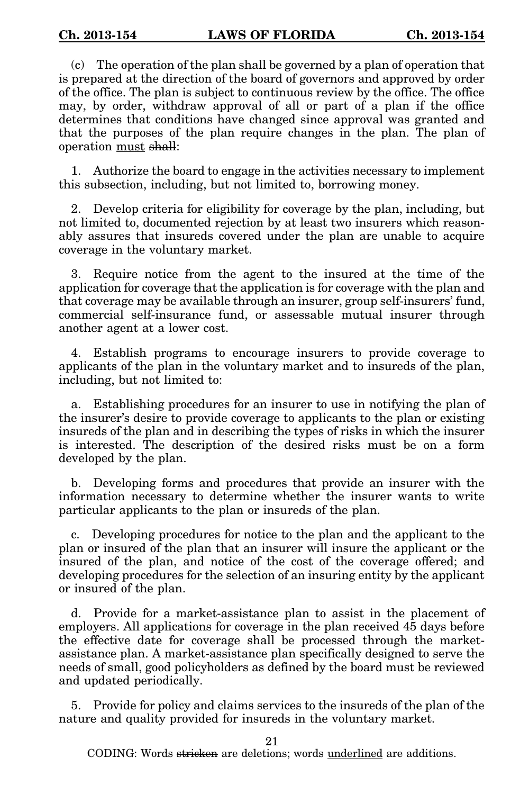(c) The operation of the plan shall be governed by a plan of operation that is prepared at the direction of the board of governors and approved by order of the office. The plan is subject to continuous review by the office. The office may, by order, withdraw approval of all or part of a plan if the office determines that conditions have changed since approval was granted and that the purposes of the plan require changes in the plan. The plan of operation must shall:

1. Authorize the board to engage in the activities necessary to implement this subsection, including, but not limited to, borrowing money.

2. Develop criteria for eligibility for coverage by the plan, including, but not limited to, documented rejection by at least two insurers which reasonably assures that insureds covered under the plan are unable to acquire coverage in the voluntary market.

3. Require notice from the agent to the insured at the time of the application for coverage that the application is for coverage with the plan and that coverage may be available through an insurer, group self-insurers' fund, commercial self-insurance fund, or assessable mutual insurer through another agent at a lower cost.

4. Establish programs to encourage insurers to provide coverage to applicants of the plan in the voluntary market and to insureds of the plan, including, but not limited to:

a. Establishing procedures for an insurer to use in notifying the plan of the insurer's desire to provide coverage to applicants to the plan or existing insureds of the plan and in describing the types of risks in which the insurer is interested. The description of the desired risks must be on a form developed by the plan.

b. Developing forms and procedures that provide an insurer with the information necessary to determine whether the insurer wants to write particular applicants to the plan or insureds of the plan.

c. Developing procedures for notice to the plan and the applicant to the plan or insured of the plan that an insurer will insure the applicant or the insured of the plan, and notice of the cost of the coverage offered; and developing procedures for the selection of an insuring entity by the applicant or insured of the plan.

d. Provide for a market-assistance plan to assist in the placement of employers. All applications for coverage in the plan received 45 days before the effective date for coverage shall be processed through the marketassistance plan. A market-assistance plan specifically designed to serve the needs of small, good policyholders as defined by the board must be reviewed and updated periodically.

5. Provide for policy and claims services to the insureds of the plan of the nature and quality provided for insureds in the voluntary market.

21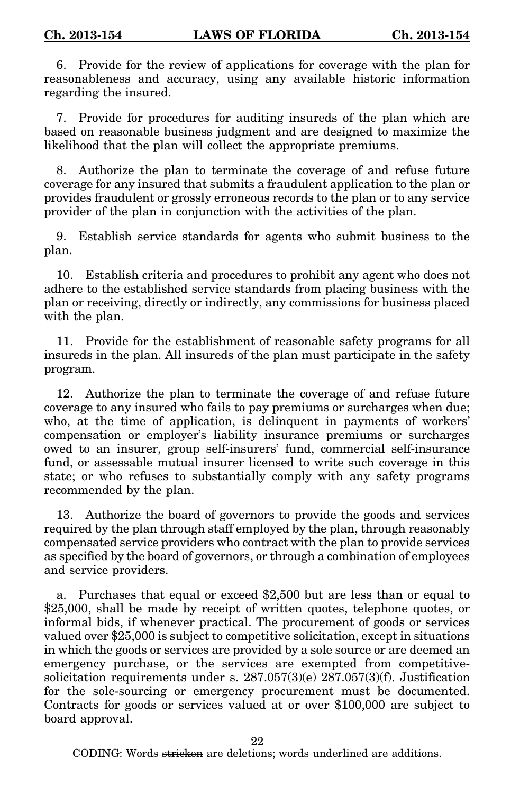6. Provide for the review of applications for coverage with the plan for reasonableness and accuracy, using any available historic information regarding the insured.

7. Provide for procedures for auditing insureds of the plan which are based on reasonable business judgment and are designed to maximize the likelihood that the plan will collect the appropriate premiums.

8. Authorize the plan to terminate the coverage of and refuse future coverage for any insured that submits a fraudulent application to the plan or provides fraudulent or grossly erroneous records to the plan or to any service provider of the plan in conjunction with the activities of the plan.

9. Establish service standards for agents who submit business to the plan.

10. Establish criteria and procedures to prohibit any agent who does not adhere to the established service standards from placing business with the plan or receiving, directly or indirectly, any commissions for business placed with the plan.

11. Provide for the establishment of reasonable safety programs for all insureds in the plan. All insureds of the plan must participate in the safety program.

12. Authorize the plan to terminate the coverage of and refuse future coverage to any insured who fails to pay premiums or surcharges when due; who, at the time of application, is delinquent in payments of workers' compensation or employer's liability insurance premiums or surcharges owed to an insurer, group self-insurers' fund, commercial self-insurance fund, or assessable mutual insurer licensed to write such coverage in this state; or who refuses to substantially comply with any safety programs recommended by the plan.

13. Authorize the board of governors to provide the goods and services required by the plan through staff employed by the plan, through reasonably compensated service providers who contract with the plan to provide services as specified by the board of governors, or through a combination of employees and service providers.

a. Purchases that equal or exceed \$2,500 but are less than or equal to \$25,000, shall be made by receipt of written quotes, telephone quotes, or informal bids, if whenever practical. The procurement of goods or services valued over \$25,000 is subject to competitive solicitation, except in situations in which the goods or services are provided by a sole source or are deemed an emergency purchase, or the services are exempted from competitivesolicitation requirements under s.  $287.057(3)(e)$   $287.057(3)(f)$ . Justification for the sole-sourcing or emergency procurement must be documented. Contracts for goods or services valued at or over \$100,000 are subject to board approval.

22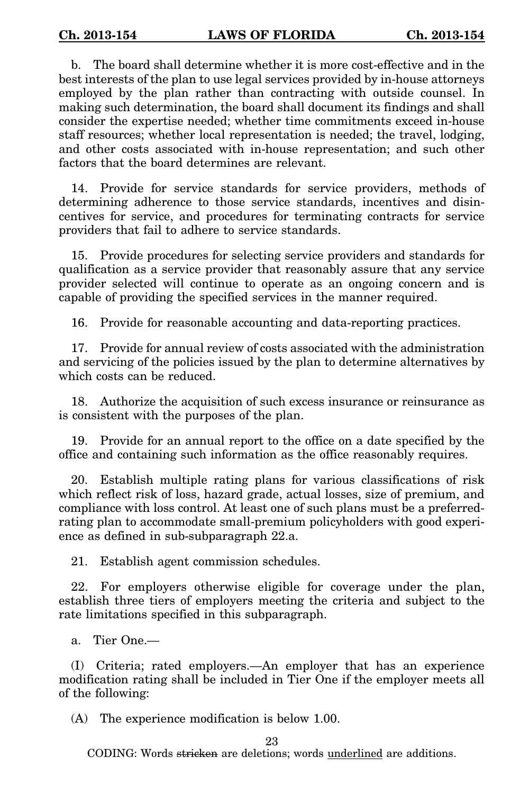b. The board shall determine whether it is more cost-effective and in the best interests of the plan to use legal services provided by in-house attorneys employed by the plan rather than contracting with outside counsel. In making such determination, the board shall document its findings and shall consider the expertise needed; whether time commitments exceed in-house staff resources; whether local representation is needed; the travel, lodging, and other costs associated with in-house representation; and such other factors that the board determines are relevant.

14. Provide for service standards for service providers, methods of determining adherence to those service standards, incentives and disincentives for service, and procedures for terminating contracts for service providers that fail to adhere to service standards.

15. Provide procedures for selecting service providers and standards for qualification as a service provider that reasonably assure that any service provider selected will continue to operate as an ongoing concern and is capable of providing the specified services in the manner required.

16. Provide for reasonable accounting and data-reporting practices.

17. Provide for annual review of costs associated with the administration and servicing of the policies issued by the plan to determine alternatives by which costs can be reduced.

18. Authorize the acquisition of such excess insurance or reinsurance as is consistent with the purposes of the plan.

19. Provide for an annual report to the office on a date specified by the office and containing such information as the office reasonably requires.

20. Establish multiple rating plans for various classifications of risk which reflect risk of loss, hazard grade, actual losses, size of premium, and compliance with loss control. At least one of such plans must be a preferredrating plan to accommodate small-premium policyholders with good experience as defined in sub-subparagraph 22.a.

21. Establish agent commission schedules.

22. For employers otherwise eligible for coverage under the plan, establish three tiers of employers meeting the criteria and subject to the rate limitations specified in this subparagraph.

a. Tier One.—

(I) Criteria; rated employers.—An employer that has an experience modification rating shall be included in Tier One if the employer meets all of the following:

(A) The experience modification is below 1.00.

23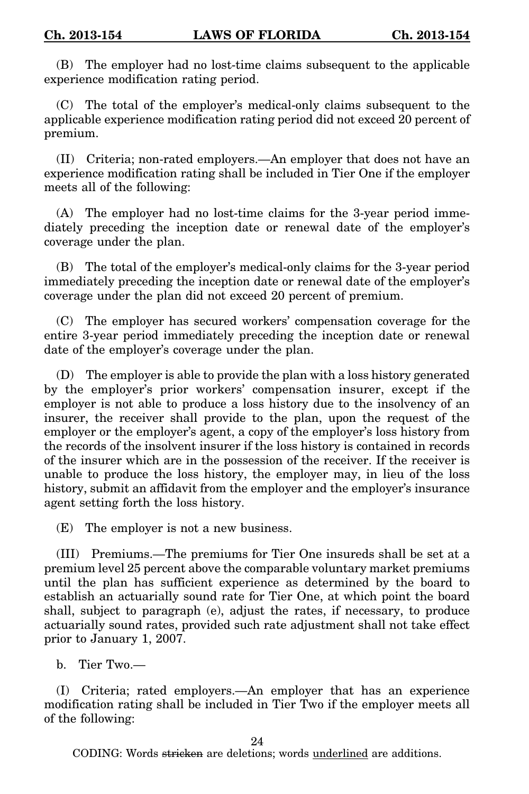(B) The employer had no lost-time claims subsequent to the applicable experience modification rating period.

(C) The total of the employer's medical-only claims subsequent to the applicable experience modification rating period did not exceed 20 percent of premium.

(II) Criteria; non-rated employers.—An employer that does not have an experience modification rating shall be included in Tier One if the employer meets all of the following:

(A) The employer had no lost-time claims for the 3-year period immediately preceding the inception date or renewal date of the employer's coverage under the plan.

(B) The total of the employer's medical-only claims for the 3-year period immediately preceding the inception date or renewal date of the employer's coverage under the plan did not exceed 20 percent of premium.

(C) The employer has secured workers' compensation coverage for the entire 3-year period immediately preceding the inception date or renewal date of the employer's coverage under the plan.

(D) The employer is able to provide the plan with a loss history generated by the employer's prior workers' compensation insurer, except if the employer is not able to produce a loss history due to the insolvency of an insurer, the receiver shall provide to the plan, upon the request of the employer or the employer's agent, a copy of the employer's loss history from the records of the insolvent insurer if the loss history is contained in records of the insurer which are in the possession of the receiver. If the receiver is unable to produce the loss history, the employer may, in lieu of the loss history, submit an affidavit from the employer and the employer's insurance agent setting forth the loss history.

(E) The employer is not a new business.

(III) Premiums.—The premiums for Tier One insureds shall be set at a premium level 25 percent above the comparable voluntary market premiums until the plan has sufficient experience as determined by the board to establish an actuarially sound rate for Tier One, at which point the board shall, subject to paragraph (e), adjust the rates, if necessary, to produce actuarially sound rates, provided such rate adjustment shall not take effect prior to January 1, 2007.

b. Tier Two.—

(I) Criteria; rated employers.—An employer that has an experience modification rating shall be included in Tier Two if the employer meets all of the following:

24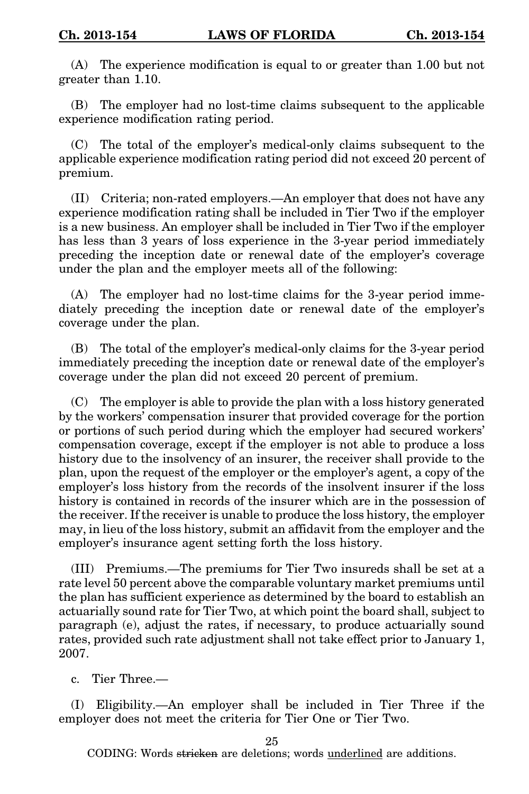(A) The experience modification is equal to or greater than 1.00 but not greater than 1.10.

(B) The employer had no lost-time claims subsequent to the applicable experience modification rating period.

(C) The total of the employer's medical-only claims subsequent to the applicable experience modification rating period did not exceed 20 percent of premium.

(II) Criteria; non-rated employers.—An employer that does not have any experience modification rating shall be included in Tier Two if the employer is a new business. An employer shall be included in Tier Two if the employer has less than 3 years of loss experience in the 3-year period immediately preceding the inception date or renewal date of the employer's coverage under the plan and the employer meets all of the following:

(A) The employer had no lost-time claims for the 3-year period immediately preceding the inception date or renewal date of the employer's coverage under the plan.

(B) The total of the employer's medical-only claims for the 3-year period immediately preceding the inception date or renewal date of the employer's coverage under the plan did not exceed 20 percent of premium.

(C) The employer is able to provide the plan with a loss history generated by the workers' compensation insurer that provided coverage for the portion or portions of such period during which the employer had secured workers' compensation coverage, except if the employer is not able to produce a loss history due to the insolvency of an insurer, the receiver shall provide to the plan, upon the request of the employer or the employer's agent, a copy of the employer's loss history from the records of the insolvent insurer if the loss history is contained in records of the insurer which are in the possession of the receiver. If the receiver is unable to produce the loss history, the employer may, in lieu of the loss history, submit an affidavit from the employer and the employer's insurance agent setting forth the loss history.

(III) Premiums.—The premiums for Tier Two insureds shall be set at a rate level 50 percent above the comparable voluntary market premiums until the plan has sufficient experience as determined by the board to establish an actuarially sound rate for Tier Two, at which point the board shall, subject to paragraph (e), adjust the rates, if necessary, to produce actuarially sound rates, provided such rate adjustment shall not take effect prior to January 1, 2007.

c. Tier Three.—

(I) Eligibility.—An employer shall be included in Tier Three if the employer does not meet the criteria for Tier One or Tier Two.

25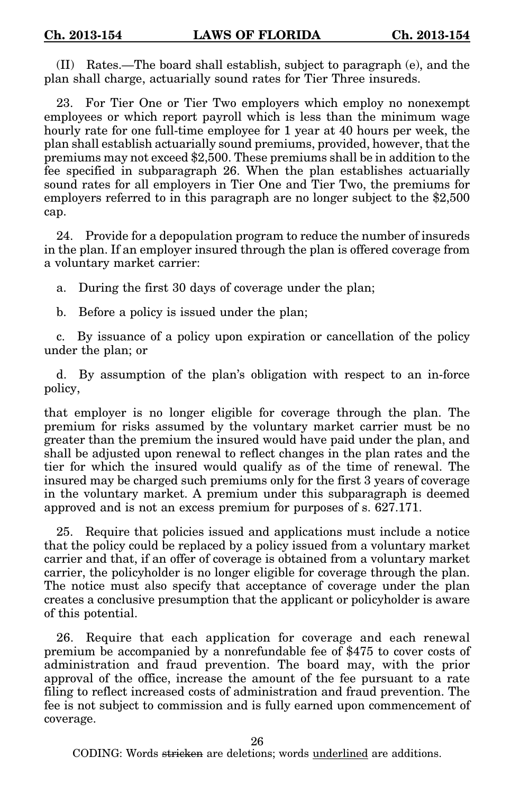(II) Rates.—The board shall establish, subject to paragraph (e), and the plan shall charge, actuarially sound rates for Tier Three insureds.

23. For Tier One or Tier Two employers which employ no nonexempt employees or which report payroll which is less than the minimum wage hourly rate for one full-time employee for 1 year at 40 hours per week, the plan shall establish actuarially sound premiums, provided, however, that the premiums may not exceed \$2,500. These premiums shall be in addition to the fee specified in subparagraph 26. When the plan establishes actuarially sound rates for all employers in Tier One and Tier Two, the premiums for employers referred to in this paragraph are no longer subject to the \$2,500 cap.

24. Provide for a depopulation program to reduce the number of insureds in the plan. If an employer insured through the plan is offered coverage from a voluntary market carrier:

a. During the first 30 days of coverage under the plan;

b. Before a policy is issued under the plan;

c. By issuance of a policy upon expiration or cancellation of the policy under the plan; or

d. By assumption of the plan's obligation with respect to an in-force policy,

that employer is no longer eligible for coverage through the plan. The premium for risks assumed by the voluntary market carrier must be no greater than the premium the insured would have paid under the plan, and shall be adjusted upon renewal to reflect changes in the plan rates and the tier for which the insured would qualify as of the time of renewal. The insured may be charged such premiums only for the first 3 years of coverage in the voluntary market. A premium under this subparagraph is deemed approved and is not an excess premium for purposes of s. 627.171.

25. Require that policies issued and applications must include a notice that the policy could be replaced by a policy issued from a voluntary market carrier and that, if an offer of coverage is obtained from a voluntary market carrier, the policyholder is no longer eligible for coverage through the plan. The notice must also specify that acceptance of coverage under the plan creates a conclusive presumption that the applicant or policyholder is aware of this potential.

26. Require that each application for coverage and each renewal premium be accompanied by a nonrefundable fee of \$475 to cover costs of administration and fraud prevention. The board may, with the prior approval of the office, increase the amount of the fee pursuant to a rate filing to reflect increased costs of administration and fraud prevention. The fee is not subject to commission and is fully earned upon commencement of coverage.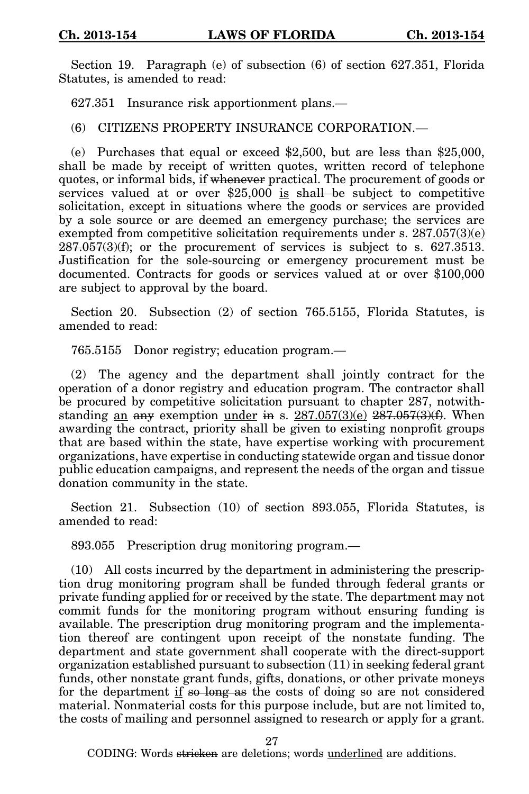Section 19. Paragraph (e) of subsection (6) of section 627.351, Florida Statutes, is amended to read:

627.351 Insurance risk apportionment plans.—

(6) CITIZENS PROPERTY INSURANCE CORPORATION.—

(e) Purchases that equal or exceed \$2,500, but are less than \$25,000, shall be made by receipt of written quotes, written record of telephone quotes, or informal bids, if whenever practical. The procurement of goods or services valued at or over  $$25,000$  is shall be subject to competitive solicitation, except in situations where the goods or services are provided by a sole source or are deemed an emergency purchase; the services are exempted from competitive solicitation requirements under s.  $287.057(3)(e)$  $287.057(3)(f)$ ; or the procurement of services is subject to s. 627.3513. Justification for the sole-sourcing or emergency procurement must be documented. Contracts for goods or services valued at or over \$100,000 are subject to approval by the board.

Section 20. Subsection (2) of section 765.5155, Florida Statutes, is amended to read:

765.5155 Donor registry; education program.—

(2) The agency and the department shall jointly contract for the operation of a donor registry and education program. The contractor shall be procured by competitive solicitation pursuant to chapter 287, notwithstanding an any exemption under in s.  $287.057(3)(e)$   $287.057(3)(f)$ . When awarding the contract, priority shall be given to existing nonprofit groups that are based within the state, have expertise working with procurement organizations, have expertise in conducting statewide organ and tissue donor public education campaigns, and represent the needs of the organ and tissue donation community in the state.

Section 21. Subsection (10) of section 893.055, Florida Statutes, is amended to read:

893.055 Prescription drug monitoring program.—

(10) All costs incurred by the department in administering the prescription drug monitoring program shall be funded through federal grants or private funding applied for or received by the state. The department may not commit funds for the monitoring program without ensuring funding is available. The prescription drug monitoring program and the implementation thereof are contingent upon receipt of the nonstate funding. The department and state government shall cooperate with the direct-support organization established pursuant to subsection (11) in seeking federal grant funds, other nonstate grant funds, gifts, donations, or other private moneys for the department if so long as the costs of doing so are not considered material. Nonmaterial costs for this purpose include, but are not limited to, the costs of mailing and personnel assigned to research or apply for a grant.

27